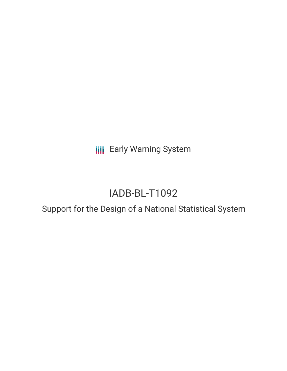**III** Early Warning System

# IADB-BL-T1092

# Support for the Design of a National Statistical System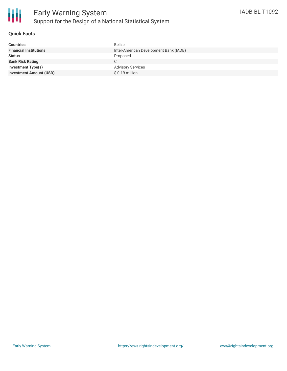

## **Quick Facts**

| <b>Countries</b>               | <b>Belize</b>                          |
|--------------------------------|----------------------------------------|
| <b>Financial Institutions</b>  | Inter-American Development Bank (IADB) |
| <b>Status</b>                  | Proposed                               |
| <b>Bank Risk Rating</b>        |                                        |
| <b>Investment Type(s)</b>      | <b>Advisory Services</b>               |
| <b>Investment Amount (USD)</b> | \$ 0.19 million                        |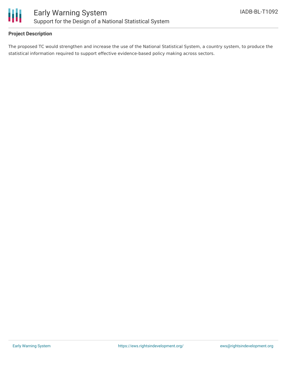

## **Project Description**

The proposed TC would strengthen and increase the use of the National Statistical System, a country system, to produce the statistical information required to support effective evidence-based policy making across sectors.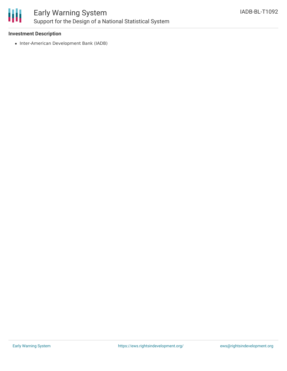

#### **Investment Description**

• Inter-American Development Bank (IADB)